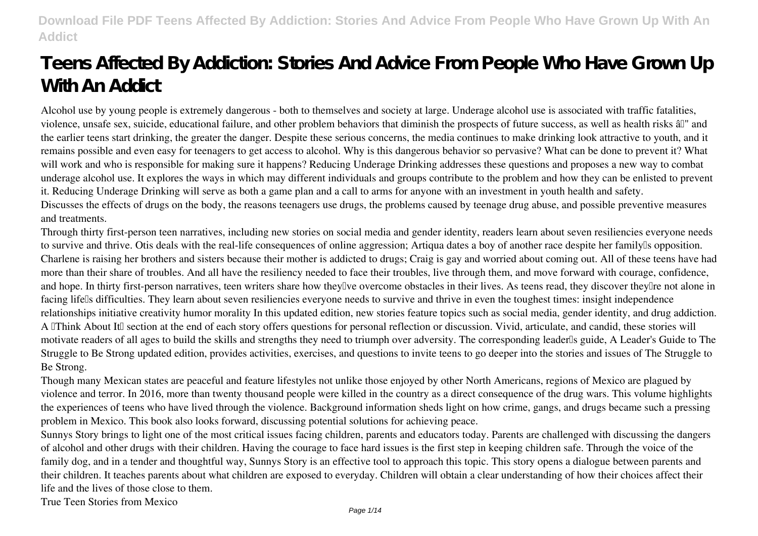# **Teens Affected By Addiction: Stories And Advice From People Who Have Grown Up With An Addict**

Alcohol use by young people is extremely dangerous - both to themselves and society at large. Underage alcohol use is associated with traffic fatalities, violence, unsafe sex, suicide, educational failure, and other problem behaviors that diminish the prospects of future success, as well as health risks â $\mathbb{I}$ " and the earlier teens start drinking, the greater the danger. Despite these serious concerns, the media continues to make drinking look attractive to youth, and it remains possible and even easy for teenagers to get access to alcohol. Why is this dangerous behavior so pervasive? What can be done to prevent it? What will work and who is responsible for making sure it happens? Reducing Underage Drinking addresses these questions and proposes a new way to combat underage alcohol use. It explores the ways in which may different individuals and groups contribute to the problem and how they can be enlisted to prevent it. Reducing Underage Drinking will serve as both a game plan and a call to arms for anyone with an investment in youth health and safety. Discusses the effects of drugs on the body, the reasons teenagers use drugs, the problems caused by teenage drug abuse, and possible preventive measures and treatments.

Through thirty first-person teen narratives, including new stories on social media and gender identity, readers learn about seven resiliencies everyone needs to survive and thrive. Otis deals with the real-life consequences of online aggression; Artiqua dates a boy of another race despite her family's opposition. Charlene is raising her brothers and sisters because their mother is addicted to drugs; Craig is gay and worried about coming out. All of these teens have had more than their share of troubles. And all have the resiliency needed to face their troubles, live through them, and move forward with courage, confidence, and hope. In thirty first-person narratives, teen writers share how they<sup>n</sup>ve overcome obstacles in their lives. As teens read, they discover they<sup>n</sup>e not alone in facing lifells difficulties. They learn about seven resiliencies everyone needs to survive and thrive in even the toughest times: insight independence relationships initiative creativity humor morality In this updated edition, new stories feature topics such as social media, gender identity, and drug addiction. A Think About It section at the end of each story offers questions for personal reflection or discussion. Vivid, articulate, and candid, these stories will motivate readers of all ages to build the skills and strengths they need to triumph over adversity. The corresponding leader's guide, A Leader's Guide to The Struggle to Be Strong updated edition, provides activities, exercises, and questions to invite teens to go deeper into the stories and issues of The Struggle to Be Strong.

Though many Mexican states are peaceful and feature lifestyles not unlike those enjoyed by other North Americans, regions of Mexico are plagued by violence and terror. In 2016, more than twenty thousand people were killed in the country as a direct consequence of the drug wars. This volume highlights the experiences of teens who have lived through the violence. Background information sheds light on how crime, gangs, and drugs became such a pressing problem in Mexico. This book also looks forward, discussing potential solutions for achieving peace.

Sunnys Story brings to light one of the most critical issues facing children, parents and educators today. Parents are challenged with discussing the dangers of alcohol and other drugs with their children. Having the courage to face hard issues is the first step in keeping children safe. Through the voice of the family dog, and in a tender and thoughtful way, Sunnys Story is an effective tool to approach this topic. This story opens a dialogue between parents and their children. It teaches parents about what children are exposed to everyday. Children will obtain a clear understanding of how their choices affect their life and the lives of those close to them.

True Teen Stories from Mexico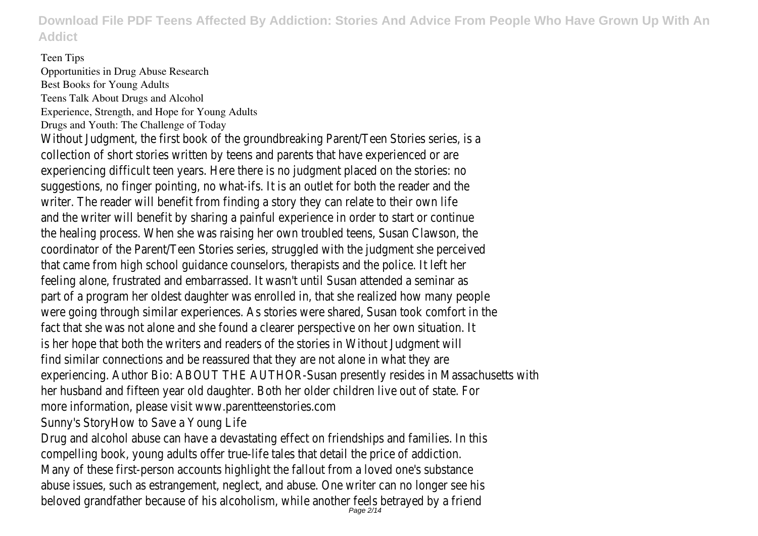#### Teen Tips

Opportunities in Drug Abuse Research Best Books for Young Adults Teens Talk About Drugs and Alcohol Experience, Strength, and Hope for Young Adults Drugs and Youth: The Challenge of Today Without Judgment, the first book of the groundbreaking Parent/Teen Stories series, is a collection of short stories written by teens and parents that have experienced or are experiencing difficult teen years. Here there is no judgment placed on the stories: no suggestions, no finger pointing, no what-ifs. It is an outlet for both the reader and the writer. The reader will benefit from finding a story they can relate to their own life and the writer will benefit by sharing a painful experience in order to start or continue the healing process. When she was raising her own troubled teens, Susan Clawson, the coordinator of the Parent/Teen Stories series, struggled with the judgment she perceived that came from high school guidance counselors, therapists and the police. It left her feeling alone, frustrated and embarrassed. It wasn't until Susan attended a seminar as part of a program her oldest daughter was enrolled in, that she realized how many people were going through similar experiences. As stories were shared, Susan took comfort in the fact that she was not alone and she found a clearer perspective on her own situation. It is her hope that both the writers and readers of the stories in Without Judgment will find similar connections and be reassured that they are not alone in what they are experiencing. Author Bio: ABOUT THE AUTHOR-Susan presently resides in Massachusetts with her husband and fifteen year old daughter. Both her older children live out of state. For more information, please visit www.parentteenstories.com

Sunny's StoryHow to Save a Young Life

Drug and alcohol abuse can have a devastating effect on friendships and families. In this compelling book, young adults offer true-life tales that detail the price of addiction. Many of these first-person accounts highlight the fallout from a loved one's substance abuse issues, such as estrangement, neglect, and abuse. One writer can no longer see his beloved grandfather because of his alcoholism, while another feels betrayed by a friend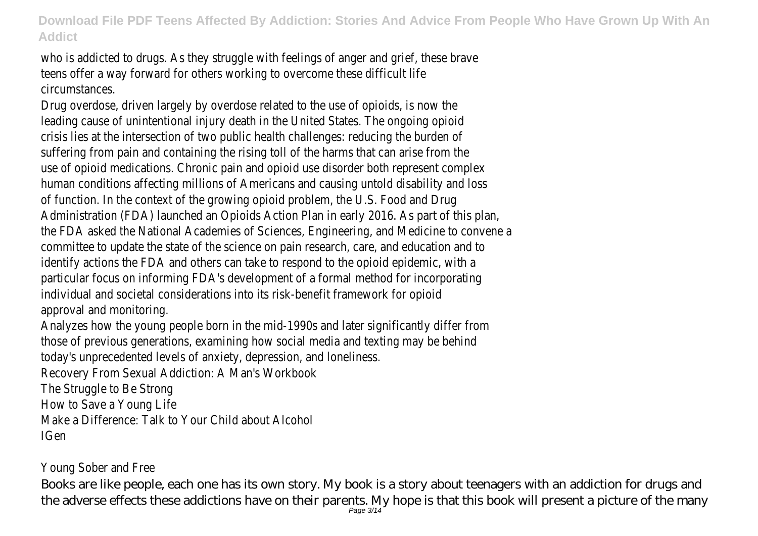who is addicted to drugs. As they struggle with feelings of anger and grief, these brave teens offer a way forward for others working to overcome these difficult life circumstances.

Drug overdose, driven largely by overdose related to the use of opioids, is now the leading cause of unintentional injury death in the United States. The ongoing opioid crisis lies at the intersection of two public health challenges: reducing the burden of suffering from pain and containing the rising toll of the harms that can arise from the use of opioid medications. Chronic pain and opioid use disorder both represent complex human conditions affecting millions of Americans and causing untold disability and loss of function. In the context of the growing opioid problem, the U.S. Food and Drug Administration (FDA) launched an Opioids Action Plan in early 2016. As part of this plan, the FDA asked the National Academies of Sciences, Engineering, and Medicine to convene a committee to update the state of the science on pain research, care, and education and to identify actions the FDA and others can take to respond to the opioid epidemic, with a particular focus on informing FDA's development of a formal method for incorporating individual and societal considerations into its risk-benefit framework for opioid approval and monitoring.

Analyzes how the young people born in the mid-1990s and later significantly differ from those of previous generations, examining how social media and texting may be behind today's unprecedented levels of anxiety, depression, and loneliness.

Recovery From Sexual Addiction: A Man's Workbook

The Struggle to Be Strong

How to Save a Young Life

Make a Difference: Talk to Your Child about Alcohol

IGen

#### Young Sober and Free

Books are like people, each one has its own story. My book is a story about teenagers with an addiction for drugs and the adverse effects these addictions have on their parents. My hope is that this book will present a picture of the many Page 3/14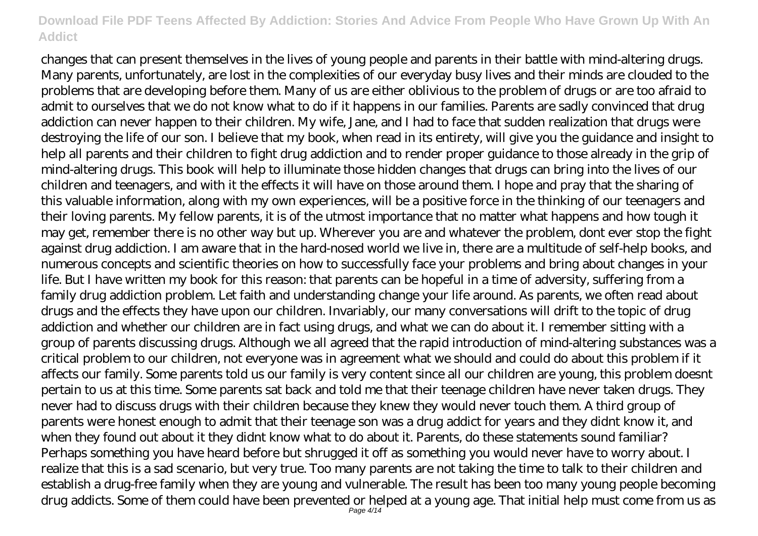changes that can present themselves in the lives of young people and parents in their battle with mind-altering drugs. Many parents, unfortunately, are lost in the complexities of our everyday busy lives and their minds are clouded to the problems that are developing before them. Many of us are either oblivious to the problem of drugs or are too afraid to admit to ourselves that we do not know what to do if it happens in our families. Parents are sadly convinced that drug addiction can never happen to their children. My wife, Jane, and I had to face that sudden realization that drugs were destroying the life of our son. I believe that my book, when read in its entirety, will give you the guidance and insight to help all parents and their children to fight drug addiction and to render proper guidance to those already in the grip of mind-altering drugs. This book will help to illuminate those hidden changes that drugs can bring into the lives of our children and teenagers, and with it the effects it will have on those around them. I hope and pray that the sharing of this valuable information, along with my own experiences, will be a positive force in the thinking of our teenagers and their loving parents. My fellow parents, it is of the utmost importance that no matter what happens and how tough it may get, remember there is no other way but up. Wherever you are and whatever the problem, dont ever stop the fight against drug addiction. I am aware that in the hard-nosed world we live in, there are a multitude of self-help books, and numerous concepts and scientific theories on how to successfully face your problems and bring about changes in your life. But I have written my book for this reason: that parents can be hopeful in a time of adversity, suffering from a family drug addiction problem. Let faith and understanding change your life around. As parents, we often read about drugs and the effects they have upon our children. Invariably, our many conversations will drift to the topic of drug addiction and whether our children are in fact using drugs, and what we can do about it. I remember sitting with a group of parents discussing drugs. Although we all agreed that the rapid introduction of mind-altering substances was a critical problem to our children, not everyone was in agreement what we should and could do about this problem if it affects our family. Some parents told us our family is very content since all our children are young, this problem doesnt pertain to us at this time. Some parents sat back and told me that their teenage children have never taken drugs. They never had to discuss drugs with their children because they knew they would never touch them. A third group of parents were honest enough to admit that their teenage son was a drug addict for years and they didnt know it, and when they found out about it they didnt know what to do about it. Parents, do these statements sound familiar? Perhaps something you have heard before but shrugged it off as something you would never have to worry about. I realize that this is a sad scenario, but very true. Too many parents are not taking the time to talk to their children and establish a drug-free family when they are young and vulnerable. The result has been too many young people becoming drug addicts. Some of them could have been prevented or helped at a young age. That initial help must come from us as Page 4/14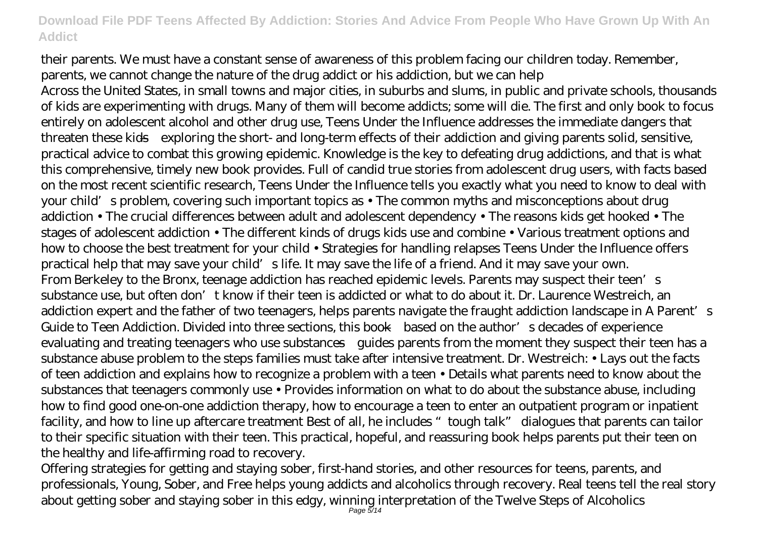their parents. We must have a constant sense of awareness of this problem facing our children today. Remember, parents, we cannot change the nature of the drug addict or his addiction, but we can help

Across the United States, in small towns and major cities, in suburbs and slums, in public and private schools, thousands of kids are experimenting with drugs. Many of them will become addicts; some will die. The first and only book to focus entirely on adolescent alcohol and other drug use, Teens Under the Influence addresses the immediate dangers that threaten these kids—exploring the short- and long-term effects of their addiction and giving parents solid, sensitive, practical advice to combat this growing epidemic. Knowledge is the key to defeating drug addictions, and that is what this comprehensive, timely new book provides. Full of candid true stories from adolescent drug users, with facts based on the most recent scientific research, Teens Under the Influence tells you exactly what you need to know to deal with your child's problem, covering such important topics as • The common myths and misconceptions about drug addiction • The crucial differences between adult and adolescent dependency • The reasons kids get hooked • The stages of adolescent addiction • The different kinds of drugs kids use and combine • Various treatment options and how to choose the best treatment for your child • Strategies for handling relapses Teens Under the Influence offers practical help that may save your child's life. It may save the life of a friend. And it may save your own. From Berkeley to the Bronx, teenage addiction has reached epidemic levels. Parents may suspect their teen's st substance use, but often don't know if their teen is addicted or what to do about it. Dr. Laurence Westreich, an addiction expert and the father of two teenagers, helps parents navigate the fraught addiction landscape in A Parent's Guide to Teen Addiction. Divided into three sections, this book—based on the author's decades of experience evaluating and treating teenagers who use substances—guides parents from the moment they suspect their teen has a substance abuse problem to the steps families must take after intensive treatment. Dr. Westreich: • Lays out the facts of teen addiction and explains how to recognize a problem with a teen • Details what parents need to know about the substances that teenagers commonly use • Provides information on what to do about the substance abuse, including how to find good one-on-one addiction therapy, how to encourage a teen to enter an outpatient program or inpatient facility, and how to line up aftercare treatment Best of all, he includes "tough talk" dialogues that parents can tailor to their specific situation with their teen. This practical, hopeful, and reassuring book helps parents put their teen on the healthy and life-affirming road to recovery.

Offering strategies for getting and staying sober, first-hand stories, and other resources for teens, parents, and professionals, Young, Sober, and Free helps young addicts and alcoholics through recovery. Real teens tell the real story about getting sober and staying sober in this edgy, winning interpretation of the Twelve Steps of Alcoholics Page 5/14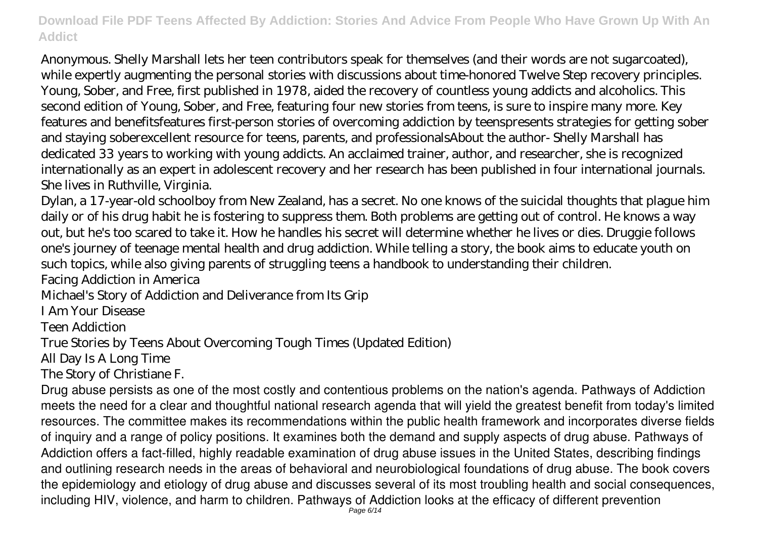Anonymous. Shelly Marshall lets her teen contributors speak for themselves (and their words are not sugarcoated), while expertly augmenting the personal stories with discussions about time-honored Twelve Step recovery principles. Young, Sober, and Free, first published in 1978, aided the recovery of countless young addicts and alcoholics. This second edition of Young, Sober, and Free, featuring four new stories from teens, is sure to inspire many more. Key features and benefitsfeatures first-person stories of overcoming addiction by teenspresents strategies for getting sober and staying soberexcellent resource for teens, parents, and professionalsAbout the author- Shelly Marshall has dedicated 33 years to working with young addicts. An acclaimed trainer, author, and researcher, she is recognized internationally as an expert in adolescent recovery and her research has been published in four international journals. She lives in Ruthville, Virginia.

Dylan, a 17-year-old schoolboy from New Zealand, has a secret. No one knows of the suicidal thoughts that plague him daily or of his drug habit he is fostering to suppress them. Both problems are getting out of control. He knows a way out, but he's too scared to take it. How he handles his secret will determine whether he lives or dies. Druggie follows one's journey of teenage mental health and drug addiction. While telling a story, the book aims to educate youth on such topics, while also giving parents of struggling teens a handbook to understanding their children. Facing Addiction in America

Michael's Story of Addiction and Deliverance from Its Grip

I Am Your Disease

Teen Addiction

True Stories by Teens About Overcoming Tough Times (Updated Edition)

All Day Is A Long Time

The Story of Christiane F.

Drug abuse persists as one of the most costly and contentious problems on the nation's agenda. Pathways of Addiction meets the need for a clear and thoughtful national research agenda that will yield the greatest benefit from today's limited resources. The committee makes its recommendations within the public health framework and incorporates diverse fields of inquiry and a range of policy positions. It examines both the demand and supply aspects of drug abuse. Pathways of Addiction offers a fact-filled, highly readable examination of drug abuse issues in the United States, describing findings and outlining research needs in the areas of behavioral and neurobiological foundations of drug abuse. The book covers the epidemiology and etiology of drug abuse and discusses several of its most troubling health and social consequences, including HIV, violence, and harm to children. Pathways of Addiction looks at the efficacy of different prevention Page 6/14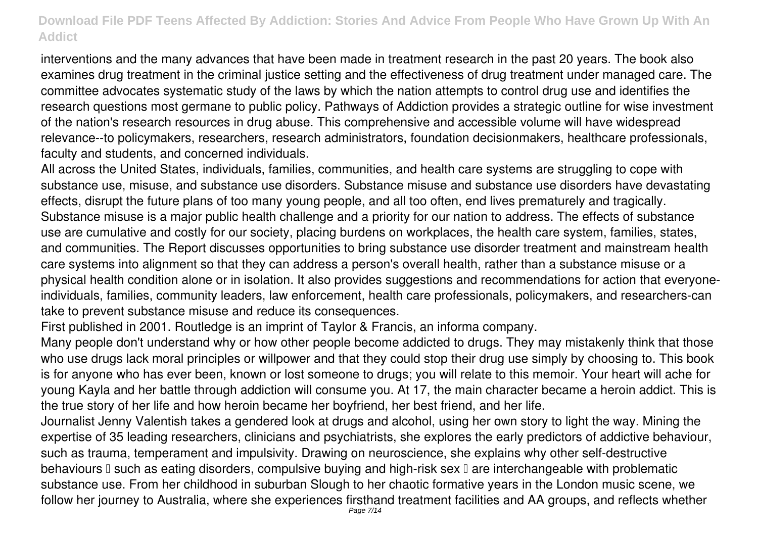interventions and the many advances that have been made in treatment research in the past 20 years. The book also examines drug treatment in the criminal justice setting and the effectiveness of drug treatment under managed care. The committee advocates systematic study of the laws by which the nation attempts to control drug use and identifies the research questions most germane to public policy. Pathways of Addiction provides a strategic outline for wise investment of the nation's research resources in drug abuse. This comprehensive and accessible volume will have widespread relevance--to policymakers, researchers, research administrators, foundation decisionmakers, healthcare professionals, faculty and students, and concerned individuals.

All across the United States, individuals, families, communities, and health care systems are struggling to cope with substance use, misuse, and substance use disorders. Substance misuse and substance use disorders have devastating effects, disrupt the future plans of too many young people, and all too often, end lives prematurely and tragically. Substance misuse is a major public health challenge and a priority for our nation to address. The effects of substance use are cumulative and costly for our society, placing burdens on workplaces, the health care system, families, states, and communities. The Report discusses opportunities to bring substance use disorder treatment and mainstream health care systems into alignment so that they can address a person's overall health, rather than a substance misuse or a physical health condition alone or in isolation. It also provides suggestions and recommendations for action that everyoneindividuals, families, community leaders, law enforcement, health care professionals, policymakers, and researchers-can take to prevent substance misuse and reduce its consequences.

First published in 2001. Routledge is an imprint of Taylor & Francis, an informa company.

Many people don't understand why or how other people become addicted to drugs. They may mistakenly think that those who use drugs lack moral principles or willpower and that they could stop their drug use simply by choosing to. This book is for anyone who has ever been, known or lost someone to drugs; you will relate to this memoir. Your heart will ache for young Kayla and her battle through addiction will consume you. At 17, the main character became a heroin addict. This is the true story of her life and how heroin became her boyfriend, her best friend, and her life.

Journalist Jenny Valentish takes a gendered look at drugs and alcohol, using her own story to light the way. Mining the expertise of 35 leading researchers, clinicians and psychiatrists, she explores the early predictors of addictive behaviour, such as trauma, temperament and impulsivity. Drawing on neuroscience, she explains why other self-destructive behaviours I such as eating disorders, compulsive buying and high-risk sex I are interchangeable with problematic substance use. From her childhood in suburban Slough to her chaotic formative years in the London music scene, we follow her journey to Australia, where she experiences firsthand treatment facilities and AA groups, and reflects whether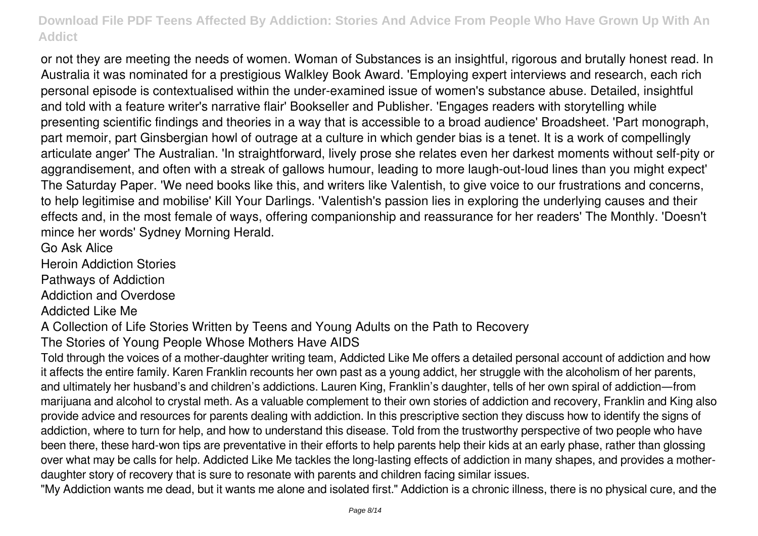or not they are meeting the needs of women. Woman of Substances is an insightful, rigorous and brutally honest read. In Australia it was nominated for a prestigious Walkley Book Award. 'Employing expert interviews and research, each rich personal episode is contextualised within the under-examined issue of women's substance abuse. Detailed, insightful and told with a feature writer's narrative flair' Bookseller and Publisher. 'Engages readers with storytelling while presenting scientific findings and theories in a way that is accessible to a broad audience' Broadsheet. 'Part monograph, part memoir, part Ginsbergian howl of outrage at a culture in which gender bias is a tenet. It is a work of compellingly articulate anger' The Australian. 'In straightforward, lively prose she relates even her darkest moments without self-pity or aggrandisement, and often with a streak of gallows humour, leading to more laugh-out-loud lines than you might expect' The Saturday Paper. 'We need books like this, and writers like Valentish, to give voice to our frustrations and concerns, to help legitimise and mobilise' Kill Your Darlings. 'Valentish's passion lies in exploring the underlying causes and their effects and, in the most female of ways, offering companionship and reassurance for her readers' The Monthly. 'Doesn't mince her words' Sydney Morning Herald.

Go Ask Alice

Heroin Addiction Stories

Pathways of Addiction

Addiction and Overdose

Addicted Like Me

A Collection of Life Stories Written by Teens and Young Adults on the Path to Recovery

The Stories of Young People Whose Mothers Have AIDS

Told through the voices of a mother-daughter writing team, Addicted Like Me offers a detailed personal account of addiction and how it affects the entire family. Karen Franklin recounts her own past as a young addict, her struggle with the alcoholism of her parents, and ultimately her husband's and children's addictions. Lauren King, Franklin's daughter, tells of her own spiral of addiction—from marijuana and alcohol to crystal meth. As a valuable complement to their own stories of addiction and recovery, Franklin and King also provide advice and resources for parents dealing with addiction. In this prescriptive section they discuss how to identify the signs of addiction, where to turn for help, and how to understand this disease. Told from the trustworthy perspective of two people who have been there, these hard-won tips are preventative in their efforts to help parents help their kids at an early phase, rather than glossing over what may be calls for help. Addicted Like Me tackles the long-lasting effects of addiction in many shapes, and provides a motherdaughter story of recovery that is sure to resonate with parents and children facing similar issues.

"My Addiction wants me dead, but it wants me alone and isolated first." Addiction is a chronic illness, there is no physical cure, and the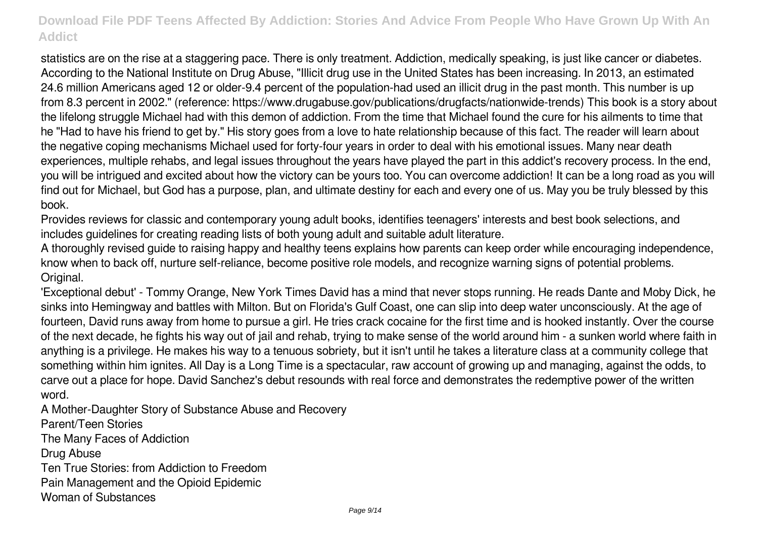statistics are on the rise at a staggering pace. There is only treatment. Addiction, medically speaking, is just like cancer or diabetes. According to the National Institute on Drug Abuse, "Illicit drug use in the United States has been increasing. In 2013, an estimated 24.6 million Americans aged 12 or older-9.4 percent of the population-had used an illicit drug in the past month. This number is up from 8.3 percent in 2002." (reference: https://www.drugabuse.gov/publications/drugfacts/nationwide-trends) This book is a story about the lifelong struggle Michael had with this demon of addiction. From the time that Michael found the cure for his ailments to time that he "Had to have his friend to get by." His story goes from a love to hate relationship because of this fact. The reader will learn about the negative coping mechanisms Michael used for forty-four years in order to deal with his emotional issues. Many near death experiences, multiple rehabs, and legal issues throughout the years have played the part in this addict's recovery process. In the end, you will be intrigued and excited about how the victory can be yours too. You can overcome addiction! It can be a long road as you will find out for Michael, but God has a purpose, plan, and ultimate destiny for each and every one of us. May you be truly blessed by this book.

Provides reviews for classic and contemporary young adult books, identifies teenagers' interests and best book selections, and includes guidelines for creating reading lists of both young adult and suitable adult literature.

A thoroughly revised guide to raising happy and healthy teens explains how parents can keep order while encouraging independence, know when to back off, nurture self-reliance, become positive role models, and recognize warning signs of potential problems. Original.

'Exceptional debut' - Tommy Orange, New York Times David has a mind that never stops running. He reads Dante and Moby Dick, he sinks into Hemingway and battles with Milton. But on Florida's Gulf Coast, one can slip into deep water unconsciously. At the age of fourteen, David runs away from home to pursue a girl. He tries crack cocaine for the first time and is hooked instantly. Over the course of the next decade, he fights his way out of jail and rehab, trying to make sense of the world around him - a sunken world where faith in anything is a privilege. He makes his way to a tenuous sobriety, but it isn't until he takes a literature class at a community college that something within him ignites. All Day is a Long Time is a spectacular, raw account of growing up and managing, against the odds, to carve out a place for hope. David Sanchez's debut resounds with real force and demonstrates the redemptive power of the written word.

A Mother-Daughter Story of Substance Abuse and Recovery Parent/Teen Stories The Many Faces of Addiction Drug Abuse Ten True Stories: from Addiction to Freedom Pain Management and the Opioid Epidemic Woman of Substances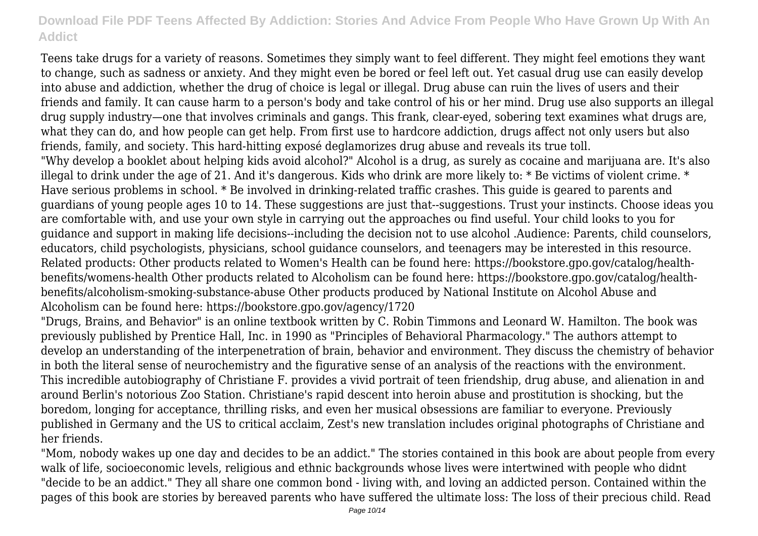Teens take drugs for a variety of reasons. Sometimes they simply want to feel different. They might feel emotions they want to change, such as sadness or anxiety. And they might even be bored or feel left out. Yet casual drug use can easily develop into abuse and addiction, whether the drug of choice is legal or illegal. Drug abuse can ruin the lives of users and their friends and family. It can cause harm to a person's body and take control of his or her mind. Drug use also supports an illegal drug supply industry—one that involves criminals and gangs. This frank, clear-eyed, sobering text examines what drugs are, what they can do, and how people can get help. From first use to hardcore addiction, drugs affect not only users but also friends, family, and society. This hard-hitting exposé deglamorizes drug abuse and reveals its true toll.

"Why develop a booklet about helping kids avoid alcohol?" Alcohol is a drug, as surely as cocaine and marijuana are. It's also illegal to drink under the age of 21. And it's dangerous. Kids who drink are more likely to: \* Be victims of violent crime. \* Have serious problems in school. \* Be involved in drinking-related traffic crashes. This guide is geared to parents and guardians of young people ages 10 to 14. These suggestions are just that--suggestions. Trust your instincts. Choose ideas you are comfortable with, and use your own style in carrying out the approaches ou find useful. Your child looks to you for guidance and support in making life decisions--including the decision not to use alcohol .Audience: Parents, child counselors, educators, child psychologists, physicians, school guidance counselors, and teenagers may be interested in this resource. Related products: Other products related to Women's Health can be found here: https://bookstore.gpo.gov/catalog/healthbenefits/womens-health Other products related to Alcoholism can be found here: https://bookstore.gpo.gov/catalog/healthbenefits/alcoholism-smoking-substance-abuse Other products produced by National Institute on Alcohol Abuse and Alcoholism can be found here: https://bookstore.gpo.gov/agency/1720

"Drugs, Brains, and Behavior" is an online textbook written by C. Robin Timmons and Leonard W. Hamilton. The book was previously published by Prentice Hall, Inc. in 1990 as "Principles of Behavioral Pharmacology." The authors attempt to develop an understanding of the interpenetration of brain, behavior and environment. They discuss the chemistry of behavior in both the literal sense of neurochemistry and the figurative sense of an analysis of the reactions with the environment. This incredible autobiography of Christiane F. provides a vivid portrait of teen friendship, drug abuse, and alienation in and around Berlin's notorious Zoo Station. Christiane's rapid descent into heroin abuse and prostitution is shocking, but the boredom, longing for acceptance, thrilling risks, and even her musical obsessions are familiar to everyone. Previously published in Germany and the US to critical acclaim, Zest's new translation includes original photographs of Christiane and her friends.

"Mom, nobody wakes up one day and decides to be an addict." The stories contained in this book are about people from every walk of life, socioeconomic levels, religious and ethnic backgrounds whose lives were intertwined with people who didnt "decide to be an addict." They all share one common bond - living with, and loving an addicted person. Contained within the pages of this book are stories by bereaved parents who have suffered the ultimate loss: The loss of their precious child. Read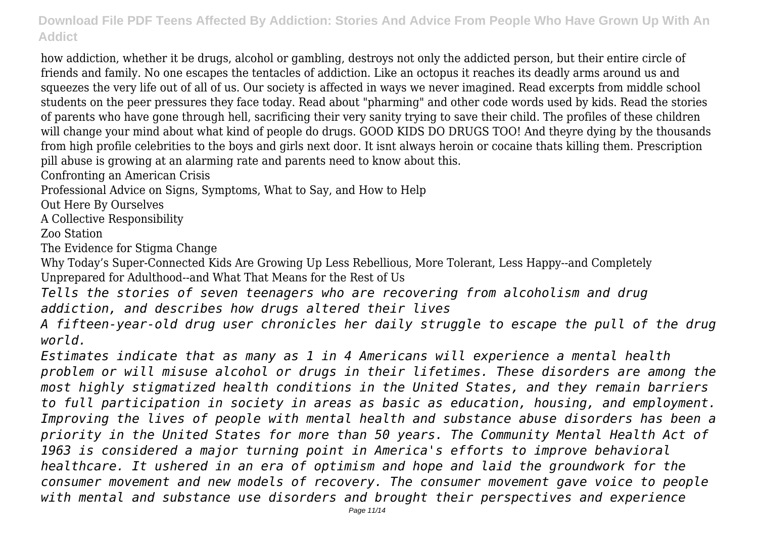how addiction, whether it be drugs, alcohol or gambling, destroys not only the addicted person, but their entire circle of friends and family. No one escapes the tentacles of addiction. Like an octopus it reaches its deadly arms around us and squeezes the very life out of all of us. Our society is affected in ways we never imagined. Read excerpts from middle school students on the peer pressures they face today. Read about "pharming" and other code words used by kids. Read the stories of parents who have gone through hell, sacrificing their very sanity trying to save their child. The profiles of these children will change your mind about what kind of people do drugs. GOOD KIDS DO DRUGS TOO! And theyre dying by the thousands from high profile celebrities to the boys and girls next door. It isnt always heroin or cocaine thats killing them. Prescription pill abuse is growing at an alarming rate and parents need to know about this.

Confronting an American Crisis

Professional Advice on Signs, Symptoms, What to Say, and How to Help

Out Here By Ourselves

A Collective Responsibility

Zoo Station

The Evidence for Stigma Change

Why Today's Super-Connected Kids Are Growing Up Less Rebellious, More Tolerant, Less Happy--and Completely Unprepared for Adulthood--and What That Means for the Rest of Us

*Tells the stories of seven teenagers who are recovering from alcoholism and drug addiction, and describes how drugs altered their lives*

*A fifteen-year-old drug user chronicles her daily struggle to escape the pull of the drug world.*

*Estimates indicate that as many as 1 in 4 Americans will experience a mental health problem or will misuse alcohol or drugs in their lifetimes. These disorders are among the most highly stigmatized health conditions in the United States, and they remain barriers to full participation in society in areas as basic as education, housing, and employment. Improving the lives of people with mental health and substance abuse disorders has been a priority in the United States for more than 50 years. The Community Mental Health Act of 1963 is considered a major turning point in America's efforts to improve behavioral healthcare. It ushered in an era of optimism and hope and laid the groundwork for the consumer movement and new models of recovery. The consumer movement gave voice to people with mental and substance use disorders and brought their perspectives and experience*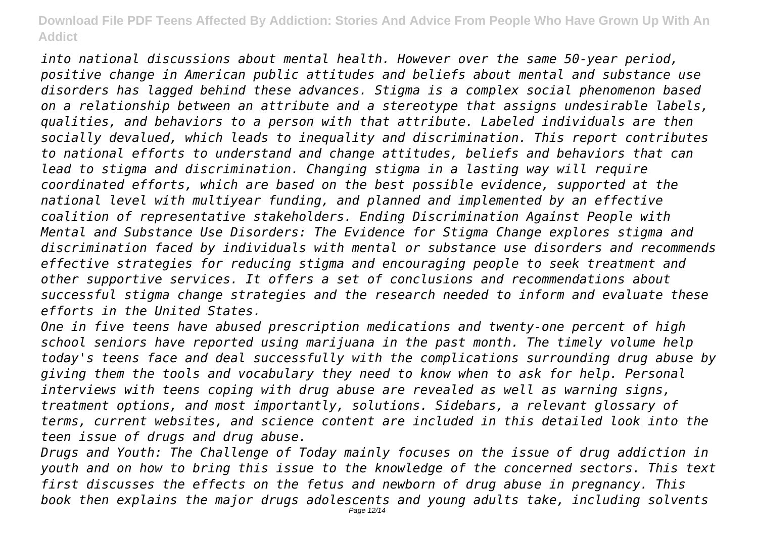*into national discussions about mental health. However over the same 50-year period, positive change in American public attitudes and beliefs about mental and substance use disorders has lagged behind these advances. Stigma is a complex social phenomenon based on a relationship between an attribute and a stereotype that assigns undesirable labels, qualities, and behaviors to a person with that attribute. Labeled individuals are then socially devalued, which leads to inequality and discrimination. This report contributes to national efforts to understand and change attitudes, beliefs and behaviors that can lead to stigma and discrimination. Changing stigma in a lasting way will require coordinated efforts, which are based on the best possible evidence, supported at the national level with multiyear funding, and planned and implemented by an effective coalition of representative stakeholders. Ending Discrimination Against People with Mental and Substance Use Disorders: The Evidence for Stigma Change explores stigma and discrimination faced by individuals with mental or substance use disorders and recommends effective strategies for reducing stigma and encouraging people to seek treatment and other supportive services. It offers a set of conclusions and recommendations about successful stigma change strategies and the research needed to inform and evaluate these efforts in the United States.*

*One in five teens have abused prescription medications and twenty-one percent of high school seniors have reported using marijuana in the past month. The timely volume help today's teens face and deal successfully with the complications surrounding drug abuse by giving them the tools and vocabulary they need to know when to ask for help. Personal interviews with teens coping with drug abuse are revealed as well as warning signs, treatment options, and most importantly, solutions. Sidebars, a relevant glossary of terms, current websites, and science content are included in this detailed look into the teen issue of drugs and drug abuse.*

*Drugs and Youth: The Challenge of Today mainly focuses on the issue of drug addiction in youth and on how to bring this issue to the knowledge of the concerned sectors. This text first discusses the effects on the fetus and newborn of drug abuse in pregnancy. This book then explains the major drugs adolescents and young adults take, including solvents*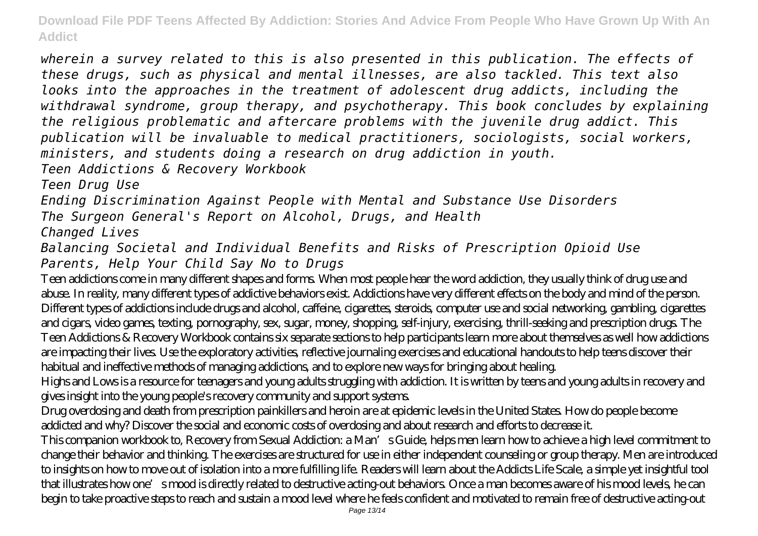*wherein a survey related to this is also presented in this publication. The effects of these drugs, such as physical and mental illnesses, are also tackled. This text also looks into the approaches in the treatment of adolescent drug addicts, including the withdrawal syndrome, group therapy, and psychotherapy. This book concludes by explaining the religious problematic and aftercare problems with the juvenile drug addict. This publication will be invaluable to medical practitioners, sociologists, social workers, ministers, and students doing a research on drug addiction in youth. Teen Addictions & Recovery Workbook Teen Drug Use Ending Discrimination Against People with Mental and Substance Use Disorders The Surgeon General's Report on Alcohol, Drugs, and Health Changed Lives Balancing Societal and Individual Benefits and Risks of Prescription Opioid Use Parents, Help Your Child Say No to Drugs* Teen addictions come in many different shapes and forms. When most people hear the word addiction, they usually think of drug use and abuse. In reality, many different types of addictive behaviors exist. Addictions have very different effects on the body and mind of the person. Different types of addictions include drugs and alcohol, caffeine, cigarettes, steroids, computer use and social networking, gambling, cigarettes

and cigars, video games, texting, pornography, sex, sugar, money, shopping, self-injury, exercising, thrill-seeking and prescription drugs. The Teen Addictions & Recovery Workbook contains six separate sections to help participants learn more about themselves as well how addictions are impacting their lives. Use the exploratory activities, reflective journaling exercises and educational handouts to help teens discover their habitual and ineffective methods of managing addictions, and to explore new ways for bringing about healing.

Highs and Lows is a resource for teenagers and young adults struggling with addiction. It is written by teens and young adults in recovery and gives insight into the young people's recovery community and support systems.

Drug overdosing and death from prescription painkillers and heroin are at epidemic levels in the United States. How do people become addicted and why? Discover the social and economic costs of overdosing and about research and efforts to decrease it.

This companion workbook to, Recovery from Sexual Addiction: a Man's Guide, helps men learn how to achieve a high level commitment to change their behavior and thinking. The exercises are structured for use in either independent counseling or group therapy. Men are introduced to insights on how to move out of isolation into a more fulfilling life. Readers will learn about the Addicts Life Scale, a simple yet insightful tool that illustrates how one's mood is directly related to destructive acting-out behaviors. Once a man becomes aware of his mood levels, he can begin to take proactive steps to reach and sustain a mood level where he feels confident and motivated to remain free of destructive acting-out